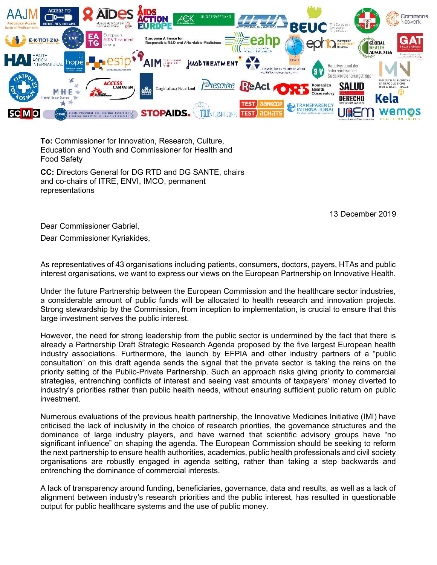

To: Commissioner for Innovation, Research, Culture, Education and Youth and Commissioner for Health and Food Safety

CC: Directors General for DG RTD and DG SANTE, chairs and co-chairs of ITRE, ENVI, IMCO, permanent representations

13 December 2019

Dear Commissioner Gabriel,

Dear Commissioner Kyriakides,

As representatives of 43 organisations including patients, consumers, doctors, payers, HTAs and public interest organisations, we want to express our views on the European Partnership on Innovative Health.

Under the future Partnership between the European Commission and the healthcare sector industries, a considerable amount of public funds will be allocated to health research and innovation projects. Strong stewardship by the Commission, from inception to implementation, is crucial to ensure that this large investment serves the public interest.

However, the need for strong leadership from the public sector is undermined by the fact that there is already a Partnership Draft Strategic Research Agenda proposed by the five largest European health industry associations. Furthermore, the launch by EFPIA and other industry partners of a "public consultation" on this draft agenda sends the signal that the private sector is taking the reins on the priority setting of the Public-Private Partnership. Such an approach risks giving priority to commercial strategies, entrenching conflicts of interest and seeing vast amounts of taxpayers' money diverted to industry's priorities rather than public health needs, without ensuring sufficient public return on public investment.

Numerous evaluations of the previous health partnership, the Innovative Medicines Initiative (IMI) have criticised the lack of inclusivity in the choice of research priorities, the governance structures and the dominance of large industry players, and have warned that scientific advisory groups have "no significant influence" on shaping the agenda. The European Commission should be seeking to reform the next partnership to ensure health authorities, academics, public health professionals and civil society organisations are robustly engaged in agenda setting, rather than taking a step backwards and entrenching the dominance of commercial interests.

A lack of transparency around funding, beneficiaries, governance, data and results, as well as a lack of alignment between industry's research priorities and the public interest, has resulted in questionable output for public healthcare systems and the use of public money.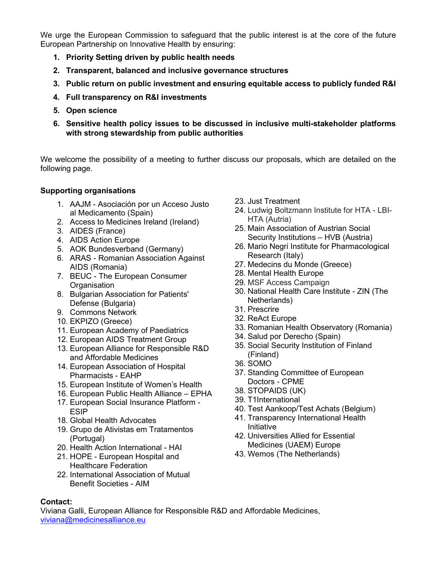We urge the European Commission to safeguard that the public interest is at the core of the future European Partnership on Innovative Health by ensuring:

- 1. Priority Setting driven by public health needs
- 2. Transparent, balanced and inclusive governance structures
- 3. Public return on public investment and ensuring equitable access to publicly funded R&I
- 4. Full transparency on R&I investments
- 5. Open science
- 6. Sensitive health policy issues to be discussed in inclusive multi-stakeholder platforms with strong stewardship from public authorities

We welcome the possibility of a meeting to further discuss our proposals, which are detailed on the following page.

# Supporting organisations

- 1. AAJM Asociación por un Acceso Justo al Medicamento (Spain)
- 2. Access to Medicines Ireland (Ireland)
- 3. AIDES (France)
- 4. AIDS Action Europe
- 5. AOK Bundesverband (Germany)
- 6. ARAS Romanian Association Against AIDS (Romania)
- 7. BEUC The European Consumer **Organisation**
- 8. Bulgarian Association for Patients' Defense (Bulgaria)
- 9. Commons Network
- 10. EKPIZO (Greece)
- 11. European Academy of Paediatrics
- 12. European AIDS Treatment Group
- 13. European Alliance for Responsible R&D and Affordable Medicines
- 14. European Association of Hospital Pharmacists - EAHP
- 15. European Institute of Women's Health
- 16. European Public Health Alliance EPHA
- 17. European Social Insurance Platform ESIP
- 18. Global Health Advocates
- 19. Grupo de Ativistas em Tratamentos (Portugal)
- 20. Health Action International HAI
- 21. HOPE European Hospital and Healthcare Federation
- 22. International Association of Mutual Benefit Societies - AIM
- 23. Just Treatment
- 24. Ludwig Boltzmann Institute for HTA LBI-HTA (Autria)
- 25. Main Association of Austrian Social Security Institutions – HVB (Austria)
- 26. Mario Negri Institute for Pharmacological Research (Italy)
- 27. Medecins du Monde (Greece)
- 28. Mental Health Europe
- 29. MSF Access Campaign
- 30. National Health Care Institute ZIN (The Netherlands)
- 31. Prescrire
- 32. ReAct Europe
- 33. Romanian Health Observatory (Romania)
- 34. Salud por Derecho (Spain)
- 35. Social Security Institution of Finland (Finland)
- 36. SOMO
- 37. Standing Committee of European Doctors - CPME
- 38. STOPAIDS (UK)
- 39. T1International
- 40. Test Aankoop/Test Achats (Belgium)
- 41. Transparency International Health Initiative
- 42. Universities Allied for Essential Medicines (UAEM) Europe
- 43. Wemos (The Netherlands)

### Contact:

Viviana Galli, European Alliance for Responsible R&D and Affordable Medicines, viviana@medicinesalliance.eu